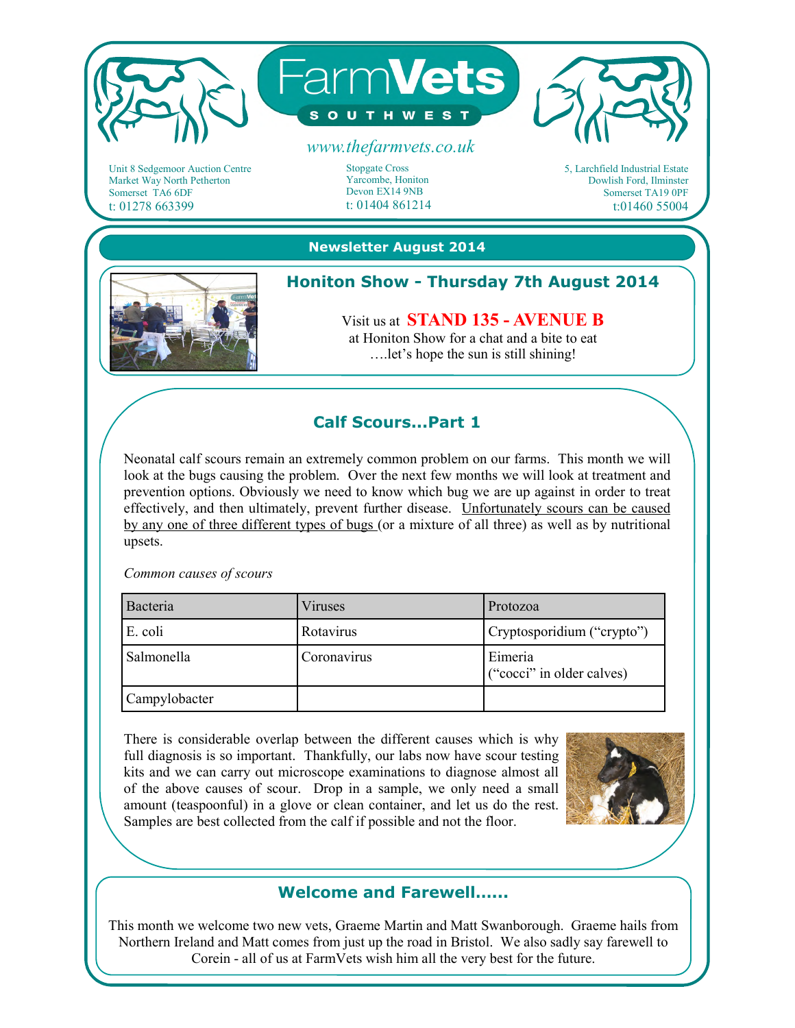

Unit 8 Sedgemoor Auction Centre Market Way North Petherton Somerset TA6 6DF t: 01278 663399

Stopgate Cross Yarcombe, Honiton Devon EX14 9NB t: 01404 861214

5, Larchfield Industrial Estate Dowlish Ford, Ilminster Somerset TA19 0PF t:01460 55004

#### **Newsletter August 2014**



# **Honiton Show - Thursday 7th August 2014**

Visit us at **STAND 135 - AVENUE B**  at Honiton Show for a chat and a bite to eat ….let's hope the sun is still shining!

# **Calf Scours...Part 1**

Neonatal calf scours remain an extremely common problem on our farms. This month we will look at the bugs causing the problem. Over the next few months we will look at treatment and prevention options. Obviously we need to know which bug we are up against in order to treat effectively, and then ultimately, prevent further disease. Unfortunately scours can be caused by any one of three different types of bugs (or a mixture of all three) as well as by nutritional upsets.

#### *Common causes of scours*

| Bacteria      | Viruses     | Protozoa                             |
|---------------|-------------|--------------------------------------|
| E. coli       | Rotavirus   | Cryptosporidium ("crypto")           |
| Salmonella    | Coronavirus | Eimeria<br>("cocci" in older calves) |
| Campylobacter |             |                                      |

There is considerable overlap between the different causes which is why full diagnosis is so important. Thankfully, our labs now have scour testing kits and we can carry out microscope examinations to diagnose almost all of the above causes of scour. Drop in a sample, we only need a small amount (teaspoonful) in a glove or clean container, and let us do the rest. Samples are best collected from the calf if possible and not the floor.



### **Welcome and Farewell…...**

This month we welcome two new vets, Graeme Martin and Matt Swanborough. Graeme hails from Northern Ireland and Matt comes from just up the road in Bristol. We also sadly say farewell to Corein - all of us at FarmVets wish him all the very best for the future.